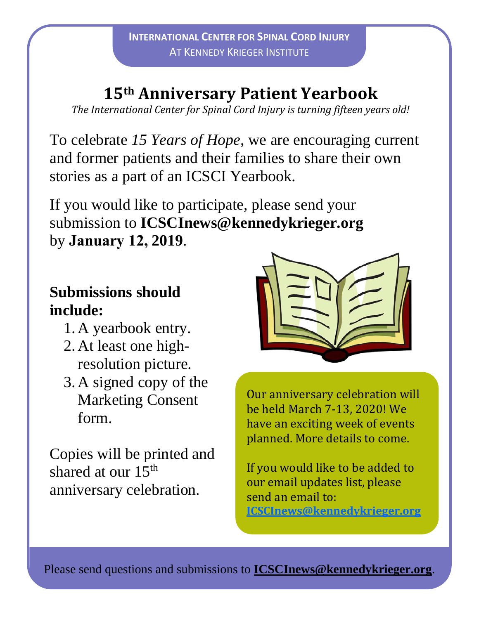## **15th Anniversary Patient Yearbook**

*The International Center for Spinal Cord Injury is turning fifteen years old!*

To celebrate *15 Years of Hope*, we are encouraging current and former patients and their families to share their own stories as a part of an ICSCI Yearbook.

If you would like to participate, please send your submission to **ICSCInews@kennedykrieger.org**  by **January 12, 2019**.

## **Submissions should include:**

- 1. A yearbook entry.
- 2. At least one highresolution picture.
- 3. A signed copy of the Marketing Consent form.

Copies will be printed and shared at our 15<sup>th</sup> anniversary celebration.



Our anniversary celebration will be held March 7-13, 2020! We have an exciting week of events planned. More details to come.

If you would like to be added to our email updates list, please send an email to: **[ICSCInews@kennedykrieger.org](mailto:ICSCInews@kennedykrieger.org)**

Please send questions and submissions to **[ICSCInews@kennedykrieger.org](mailto:ICSCInews@kennedykrieger.org)**.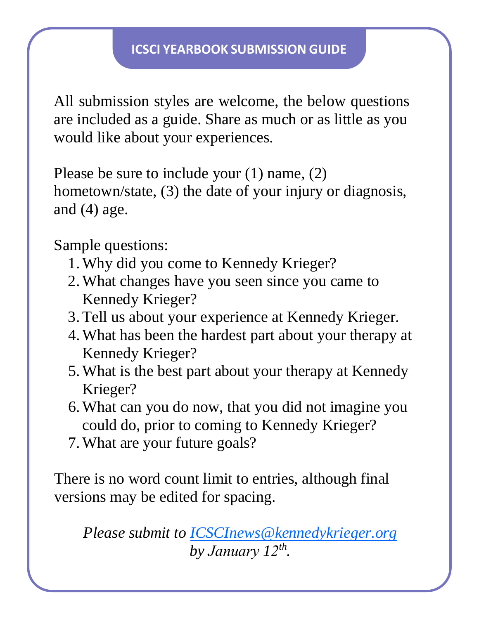All submission styles are welcome, the below questions are included as a guide. Share as much or as little as you would like about your experiences.

Please be sure to include your (1) name, (2) hometown/state, (3) the date of your injury or diagnosis, and  $(4)$  age.

Sample questions:

- 1.Why did you come to Kennedy Krieger?
- 2.What changes have you seen since you came to Kennedy Krieger?
- 3.Tell us about your experience at Kennedy Krieger.
- 4.What has been the hardest part about your therapy at Kennedy Krieger?
- 5.What is the best part about your therapy at Kennedy Krieger?
- 6.What can you do now, that you did not imagine you could do, prior to coming to Kennedy Krieger?
- 7.What are your future goals?

There is no word count limit to entries, although final versions may be edited for spacing.

*Please submit to [ICSCInews@kennedykrieger.org](mailto:ICSCInews@kennedykrieger.org) by January 12 th .*